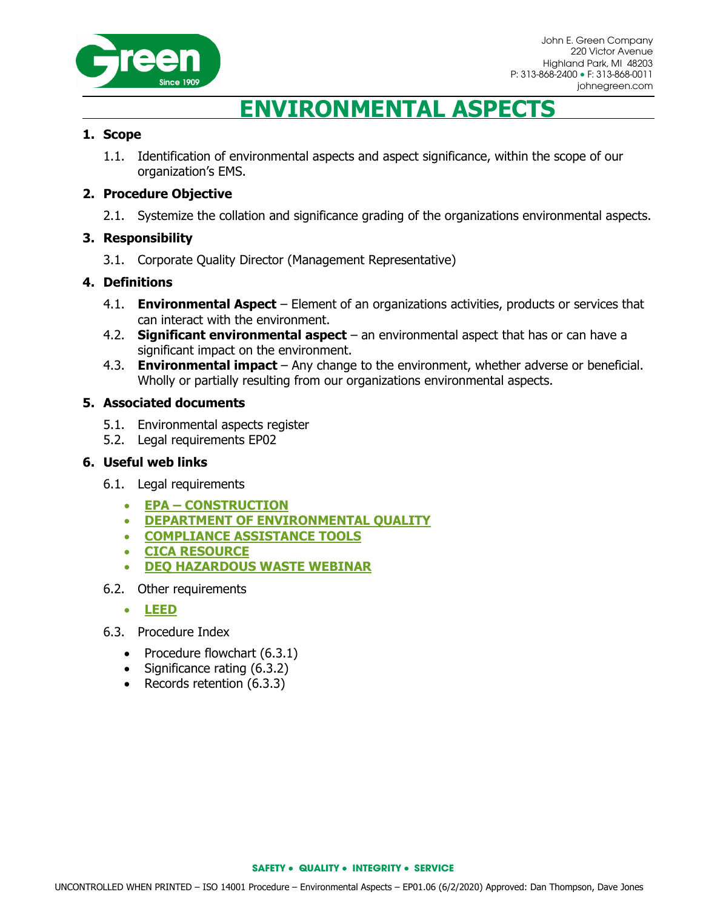

# **ENVIRONMENTAL ASPECTS**

### **1. Scope**

1.1. Identification of environmental aspects and aspect significance, within the scope of our organization's EMS.

#### **2. Procedure Objective**

2.1. Systemize the collation and significance grading of the organizations environmental aspects.

#### **3. Responsibility**

3.1. Corporate Quality Director (Management Representative)

#### **4. Definitions**

- 4.1. **Environmental Aspect** Element of an organizations activities, products or services that can interact with the environment.
- 4.2. **Significant environmental aspect**  an environmental aspect that has or can have a significant impact on the environment.
- 4.3. **Environmental impact**  Any change to the environment, whether adverse or beneficial. Wholly or partially resulting from our organizations environmental aspects.

#### **5. Associated documents**

- 5.1. Environmental aspects register
- 5.2. Legal requirements EP02

#### **6. Useful web links**

- 6.1. Legal requirements
	- **EPA – [CONSTRUCTION](http://www2.epa.gov/regulatory-information-sector/construction-sector-naics-23)**
	- **[DEPARTMENT OF ENVIRONMENTAL QUALITY](http://www.michigan.gov/deq)**
	- **[COMPLIANCE ASSISTANCE TOOLS](https://archive.epa.gov/compliance/resources/publications/assistance/sectors/web/html/)**
	- **[CICA RESOURCE](http://www.cicacenter.org/)**
	- **[DEQ HAZARDOUS WASTE WEBINAR](http://www.michigan.gov/deq/0,4561,7-135-3308_3333-264752--,00.html)**
- 6.2. Other requirements
	- **[LEED](https://new.usgbc.org/leed)**
- 6.3. Procedure Index
	- Procedure flowchart (6.3.1)
	- Significance rating (6.3.2)
	- Records retention (6.3.3)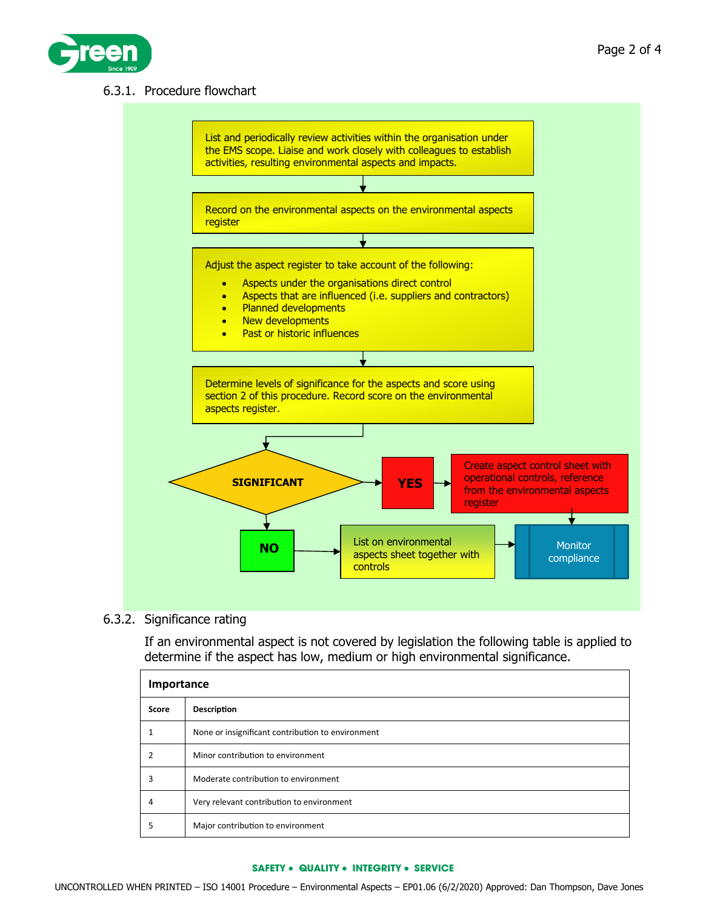

## 6.3.1. Procedure flowchart



### 6.3.2. Significance rating

If an environmental aspect is not covered by legislation the following table is applied to determine if the aspect has low, medium or high environmental significance.

| Importance |                                                   |  |  |  |  |
|------------|---------------------------------------------------|--|--|--|--|
| Score      | <b>Description</b>                                |  |  |  |  |
|            | None or insignificant contribution to environment |  |  |  |  |
|            | Minor contribution to environment                 |  |  |  |  |
| 3          | Moderate contribution to environment              |  |  |  |  |
| 4          | Very relevant contribution to environment         |  |  |  |  |
| 5          | Major contribution to environment                 |  |  |  |  |

#### **SAFETY** • **QUALITY** • **INTEGRITY** • **SERVICE**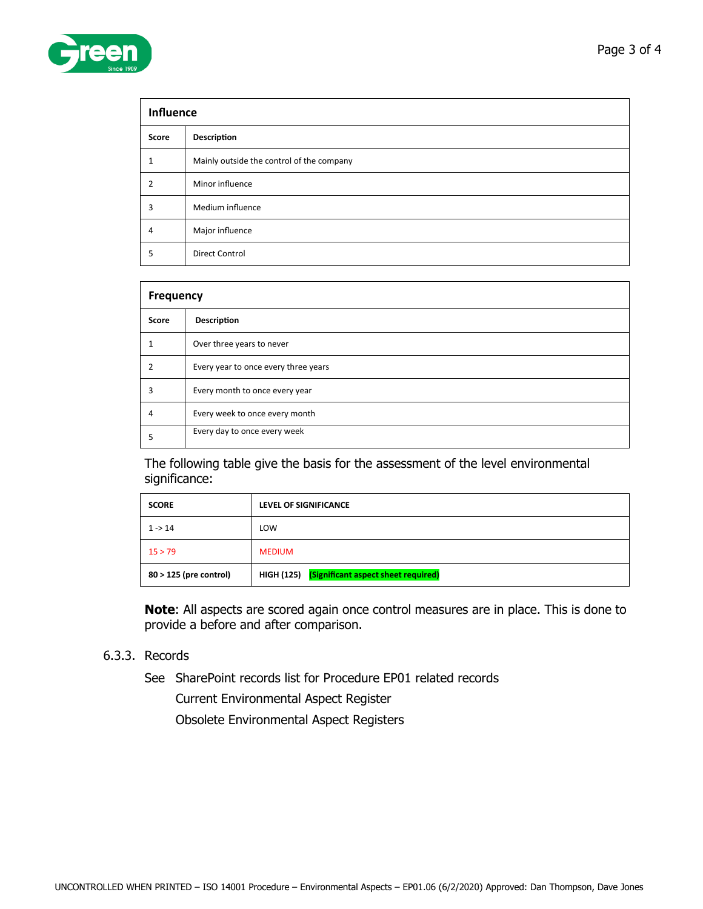| <b>Influence</b> |                                           |  |  |  |
|------------------|-------------------------------------------|--|--|--|
| Score            | Description                               |  |  |  |
| 1                | Mainly outside the control of the company |  |  |  |
| $\overline{2}$   | Minor influence                           |  |  |  |
| 3                | Medium influence                          |  |  |  |
| $\overline{4}$   | Major influence                           |  |  |  |
| 5                | <b>Direct Control</b>                     |  |  |  |

| <b>Frequency</b> |                                      |  |  |  |
|------------------|--------------------------------------|--|--|--|
| Score            | Description                          |  |  |  |
|                  | Over three years to never            |  |  |  |
|                  | Every year to once every three years |  |  |  |
| 3                | Every month to once every year       |  |  |  |
| 4                | Every week to once every month       |  |  |  |
|                  | Every day to once every week         |  |  |  |

The following table give the basis for the assessment of the level environmental significance:

| <b>SCORE</b>           | <b>LEVEL OF SIGNIFICANCE</b>                   |  |  |
|------------------------|------------------------------------------------|--|--|
| $1 - 14$               | LOW                                            |  |  |
| 15 > 79                | <b>MEDIUM</b>                                  |  |  |
| 80 > 125 (pre control) | HIGH (125) (Significant aspect sheet required) |  |  |

**Note**: All aspects are scored again once control measures are in place. This is done to provide a before and after comparison.

## 6.3.3. Records

See SharePoint records list for Procedure EP01 related records

Current Environmental Aspect Register

Obsolete Environmental Aspect Registers